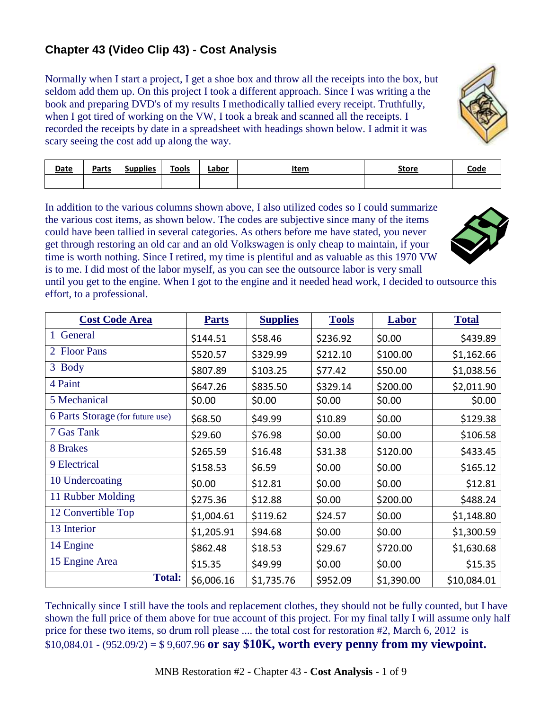## **Chapter 43 (Video Clip 43) - Cost Analysis**

Normally when I start a project, I get a shoe box and throw all the receipts into the box, but seldom add them up. On this project I took a different approach. Since I was writing a the book and preparing DVD's of my results I methodically tallied every receipt. Truthfully, when I got tired of working on the VW, I took a break and scanned all the receipts. I recorded the receipts by date in a spreadsheet with headings shown below. I admit it was scary seeing the cost add up along the way.



| <b>Date</b> | Parts | . .<br>supplies<br>Jun | <b>Tools</b> | Labor | Item | <b>Store</b> | <u>Code</u> |
|-------------|-------|------------------------|--------------|-------|------|--------------|-------------|
|             |       |                        |              |       |      |              |             |

In addition to the various columns shown above, I also utilized codes so I could summarize the various cost items, as shown below. The codes are subjective since many of the items could have been tallied in several categories. As others before me have stated, you never get through restoring an old car and an old Volkswagen is only cheap to maintain, if your time is worth nothing. Since I retired, my time is plentiful and as valuable as this 1970 VW is to me. I did most of the labor myself, as you can see the outsource labor is very small



until you get to the engine. When I got to the engine and it needed head work, I decided to outsource this effort, to a professional.

| <b>Cost Code Area</b>            | <b>Parts</b> | <b>Supplies</b> | <b>Tools</b> | Labor      | <b>Total</b> |
|----------------------------------|--------------|-----------------|--------------|------------|--------------|
| General<br>1                     | \$144.51     | \$58.46         | \$236.92     | \$0.00     | \$439.89     |
| 2 Floor Pans                     | \$520.57     | \$329.99        | \$212.10     | \$100.00   | \$1,162.66   |
| 3 Body                           | \$807.89     | \$103.25        | \$77.42      | \$50.00    | \$1,038.56   |
| 4 Paint                          | \$647.26     | \$835.50        | \$329.14     | \$200.00   | \$2,011.90   |
| 5 Mechanical                     | \$0.00       | \$0.00          | \$0.00       | \$0.00     | \$0.00       |
| 6 Parts Storage (for future use) | \$68.50      | \$49.99         | \$10.89      | \$0.00     | \$129.38     |
| 7 Gas Tank                       | \$29.60      | \$76.98         | \$0.00       | \$0.00     | \$106.58     |
| 8 Brakes                         | \$265.59     | \$16.48         | \$31.38      | \$120.00   | \$433.45     |
| 9 Electrical                     | \$158.53     | \$6.59          | \$0.00       | \$0.00     | \$165.12     |
| 10 Undercoating                  | \$0.00       | \$12.81         | \$0.00       | \$0.00     | \$12.81      |
| 11 Rubber Molding                | \$275.36     | \$12.88         | \$0.00       | \$200.00   | \$488.24     |
| 12 Convertible Top               | \$1,004.61   | \$119.62        | \$24.57      | \$0.00     | \$1,148.80   |
| 13 Interior                      | \$1,205.91   | \$94.68         | \$0.00       | \$0.00     | \$1,300.59   |
| 14 Engine                        | \$862.48     | \$18.53         | \$29.67      | \$720.00   | \$1,630.68   |
| 15 Engine Area                   | \$15.35      | \$49.99         | \$0.00       | \$0.00     | \$15.35      |
| <b>Total:</b>                    | \$6,006.16   | \$1,735.76      | \$952.09     | \$1,390.00 | \$10,084.01  |

Technically since I still have the tools and replacement clothes, they should not be fully counted, but I have shown the full price of them above for true account of this project. For my final tally I will assume only half price for these two items, so drum roll please .... the total cost for restoration #2, March 6, 2012 is \$10,084.01 - (952.09/2) = \$ 9,607.96 **or say \$10K, worth every penny from my viewpoint.**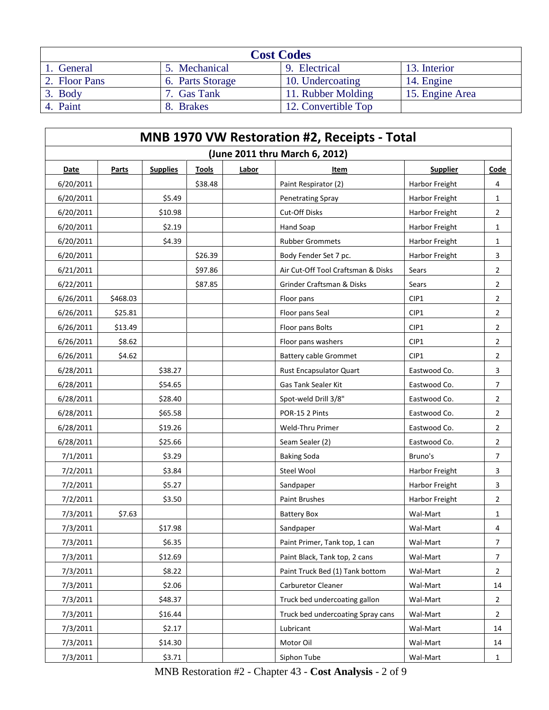| <b>Cost Codes</b> |                         |                        |                 |  |  |  |  |  |  |
|-------------------|-------------------------|------------------------|-----------------|--|--|--|--|--|--|
| 1. General        | 5. Mechanical           | Electrical<br><b>Q</b> | 13. Interior    |  |  |  |  |  |  |
| 2. Floor Pans     | 6. Parts Storage        | 10. Undercoating       | 14. Engine      |  |  |  |  |  |  |
| 3. Body           | <sup>7</sup> . Gas Tank | 11. Rubber Molding     | 15. Engine Area |  |  |  |  |  |  |
| 4. Paint          | 8. Brakes               | 12. Convertible Top    |                 |  |  |  |  |  |  |

| <b>MNB 1970 VW Restoration #2, Receipts - Total</b> |              |                 |              |       |                                    |                 |                |  |  |
|-----------------------------------------------------|--------------|-----------------|--------------|-------|------------------------------------|-----------------|----------------|--|--|
|                                                     |              |                 |              |       | (June 2011 thru March 6, 2012)     |                 |                |  |  |
| <b>Date</b>                                         | <b>Parts</b> | <b>Supplies</b> | <b>Tools</b> | Labor | <u>Item</u>                        | <b>Supplier</b> | Code           |  |  |
| 6/20/2011                                           |              |                 | \$38.48      |       | Paint Respirator (2)               | Harbor Freight  | 4              |  |  |
| 6/20/2011                                           |              | \$5.49          |              |       | <b>Penetrating Spray</b>           | Harbor Freight  | 1              |  |  |
| 6/20/2011                                           |              | \$10.98         |              |       | <b>Cut-Off Disks</b>               | Harbor Freight  | 2              |  |  |
| 6/20/2011                                           |              | \$2.19          |              |       | Hand Soap                          | Harbor Freight  | 1              |  |  |
| 6/20/2011                                           |              | \$4.39          |              |       | <b>Rubber Grommets</b>             | Harbor Freight  | 1              |  |  |
| 6/20/2011                                           |              |                 | \$26.39      |       | Body Fender Set 7 pc.              | Harbor Freight  | 3              |  |  |
| 6/21/2011                                           |              |                 | \$97.86      |       | Air Cut-Off Tool Craftsman & Disks | Sears           | $\overline{2}$ |  |  |
| 6/22/2011                                           |              |                 | \$87.85      |       | Grinder Craftsman & Disks          | Sears           | $\overline{2}$ |  |  |
| 6/26/2011                                           | \$468.03     |                 |              |       | Floor pans                         | CIP1            | 2              |  |  |
| 6/26/2011                                           | \$25.81      |                 |              |       | Floor pans Seal                    | CIP1            | 2              |  |  |
| 6/26/2011                                           | \$13.49      |                 |              |       | Floor pans Bolts                   | CIP1            | $\overline{2}$ |  |  |
| 6/26/2011                                           | \$8.62       |                 |              |       | Floor pans washers                 | CIP1            | $\overline{2}$ |  |  |
| 6/26/2011                                           | \$4.62       |                 |              |       | <b>Battery cable Grommet</b>       | CIP1            | $\overline{2}$ |  |  |
| 6/28/2011                                           |              | \$38.27         |              |       | <b>Rust Encapsulator Quart</b>     | Eastwood Co.    | 3              |  |  |
| 6/28/2011                                           |              | \$54.65         |              |       | Gas Tank Sealer Kit                | Eastwood Co.    | 7              |  |  |
| 6/28/2011                                           |              | \$28.40         |              |       | Spot-weld Drill 3/8"               | Eastwood Co.    | 2              |  |  |
| 6/28/2011                                           |              | \$65.58         |              |       | POR-15 2 Pints                     | Eastwood Co.    | $\overline{2}$ |  |  |
| 6/28/2011                                           |              | \$19.26         |              |       | Weld-Thru Primer                   | Eastwood Co.    | $\overline{2}$ |  |  |
| 6/28/2011                                           |              | \$25.66         |              |       | Seam Sealer (2)                    | Eastwood Co.    | $\overline{2}$ |  |  |
| 7/1/2011                                            |              | \$3.29          |              |       | <b>Baking Soda</b>                 | Bruno's         | 7              |  |  |
| 7/2/2011                                            |              | \$3.84          |              |       | Steel Wool                         | Harbor Freight  | 3              |  |  |
| 7/2/2011                                            |              | \$5.27          |              |       | Sandpaper                          | Harbor Freight  | 3              |  |  |
| 7/2/2011                                            |              | \$3.50          |              |       | Paint Brushes                      | Harbor Freight  | $\overline{2}$ |  |  |
| 7/3/2011                                            | \$7.63       |                 |              |       | <b>Battery Box</b>                 | Wal-Mart        | 1              |  |  |
| 7/3/2011                                            |              | \$17.98         |              |       | Sandpaper                          | Wal-Mart        | 4              |  |  |
| 7/3/2011                                            |              | \$6.35          |              |       | Paint Primer, Tank top, 1 can      | Wal-Mart        | 7              |  |  |
| 7/3/2011                                            |              | \$12.69         |              |       | Paint Black, Tank top, 2 cans      | Wal-Mart        | 7              |  |  |
| 7/3/2011                                            |              | \$8.22          |              |       | Paint Truck Bed (1) Tank bottom    | Wal-Mart        | $\overline{2}$ |  |  |
| 7/3/2011                                            |              | \$2.06          |              |       | Carburetor Cleaner                 | Wal-Mart        | 14             |  |  |
| 7/3/2011                                            |              | \$48.37         |              |       | Truck bed undercoating gallon      | Wal-Mart        | $\overline{2}$ |  |  |
| 7/3/2011                                            |              | \$16.44         |              |       | Truck bed undercoating Spray cans  | Wal-Mart        | $\overline{2}$ |  |  |
| 7/3/2011                                            |              | \$2.17          |              |       | Lubricant                          | Wal-Mart        | 14             |  |  |
| 7/3/2011                                            |              | \$14.30         |              |       | Motor Oil                          | Wal-Mart        | 14             |  |  |
| 7/3/2011                                            |              | \$3.71          |              |       | Siphon Tube                        | Wal-Mart        | 1              |  |  |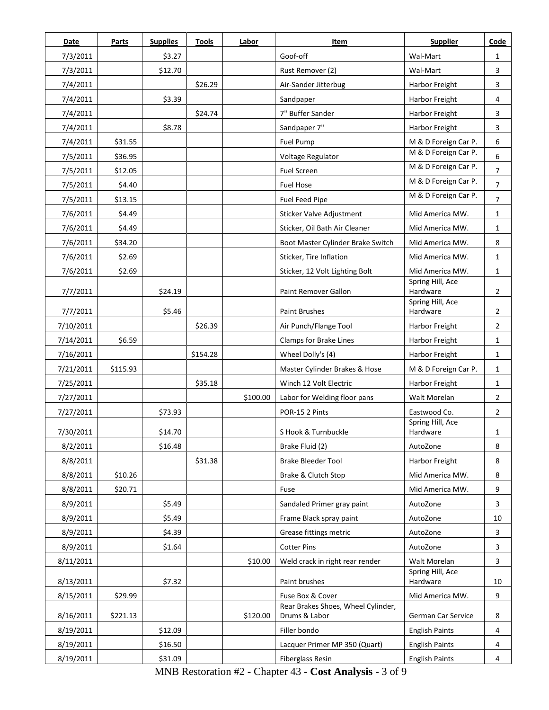| <b>Date</b> | Parts    | <b>Supplies</b> | <b>Tools</b> | Labor    | Item                                                   | <b>Supplier</b>              | Code           |
|-------------|----------|-----------------|--------------|----------|--------------------------------------------------------|------------------------------|----------------|
| 7/3/2011    |          | \$3.27          |              |          | Goof-off                                               | Wal-Mart                     | 1              |
| 7/3/2011    |          | \$12.70         |              |          | Rust Remover (2)                                       | Wal-Mart                     | 3              |
| 7/4/2011    |          |                 | \$26.29      |          | Air-Sander Jitterbug                                   | Harbor Freight               | 3              |
| 7/4/2011    |          | \$3.39          |              |          | Sandpaper                                              | Harbor Freight               | 4              |
| 7/4/2011    |          |                 | \$24.74      |          | 7" Buffer Sander                                       | Harbor Freight               | 3              |
| 7/4/2011    |          | \$8.78          |              |          | Sandpaper 7"                                           | Harbor Freight               | 3              |
| 7/4/2011    | \$31.55  |                 |              |          | Fuel Pump                                              | M & D Foreign Car P.         | 6              |
| 7/5/2011    | \$36.95  |                 |              |          | Voltage Regulator                                      | M & D Foreign Car P.         | 6              |
| 7/5/2011    | \$12.05  |                 |              |          | <b>Fuel Screen</b>                                     | M & D Foreign Car P.         | $\overline{7}$ |
| 7/5/2011    | \$4.40   |                 |              |          | <b>Fuel Hose</b>                                       | M & D Foreign Car P.         | $\overline{7}$ |
| 7/5/2011    | \$13.15  |                 |              |          | Fuel Feed Pipe                                         | M & D Foreign Car P.         | $\overline{7}$ |
| 7/6/2011    | \$4.49   |                 |              |          | <b>Sticker Valve Adjustment</b>                        | Mid America MW.              | $\mathbf{1}$   |
| 7/6/2011    | \$4.49   |                 |              |          | Sticker, Oil Bath Air Cleaner                          | Mid America MW.              | $\mathbf{1}$   |
| 7/6/2011    | \$34.20  |                 |              |          | Boot Master Cylinder Brake Switch                      | Mid America MW.              | 8              |
| 7/6/2011    | \$2.69   |                 |              |          | Sticker, Tire Inflation                                | Mid America MW.              | $\mathbf{1}$   |
| 7/6/2011    | \$2.69   |                 |              |          | Sticker, 12 Volt Lighting Bolt                         | Mid America MW.              | $\mathbf{1}$   |
|             |          |                 |              |          | Paint Remover Gallon                                   | Spring Hill, Ace<br>Hardware | $\overline{2}$ |
| 7/7/2011    |          | \$24.19         |              |          |                                                        | Spring Hill, Ace             |                |
| 7/7/2011    |          | \$5.46          |              |          | <b>Paint Brushes</b>                                   | Hardware                     | $\overline{2}$ |
| 7/10/2011   |          |                 | \$26.39      |          | Air Punch/Flange Tool                                  | Harbor Freight               | $\overline{2}$ |
| 7/14/2011   | \$6.59   |                 |              |          | Clamps for Brake Lines                                 | Harbor Freight               | $\mathbf{1}$   |
| 7/16/2011   |          |                 | \$154.28     |          | Wheel Dolly's (4)                                      | Harbor Freight               | $\mathbf{1}$   |
| 7/21/2011   | \$115.93 |                 |              |          | Master Cylinder Brakes & Hose                          | M & D Foreign Car P.         | 1              |
| 7/25/2011   |          |                 | \$35.18      |          | Winch 12 Volt Electric                                 | Harbor Freight               | $\mathbf{1}$   |
| 7/27/2011   |          |                 |              | \$100.00 | Labor for Welding floor pans                           | Walt Morelan                 | $\overline{2}$ |
| 7/27/2011   |          | \$73.93         |              |          | POR-15 2 Pints                                         | Eastwood Co.                 | $\overline{2}$ |
| 7/30/2011   |          | \$14.70         |              |          | S Hook & Turnbuckle                                    | Spring Hill, Ace<br>Hardware | 1              |
| 8/2/2011    |          | \$16.48         |              |          | Brake Fluid (2)                                        | AutoZone                     | 8              |
| 8/8/2011    |          |                 | \$31.38      |          | Brake Bleeder Tool                                     | Harbor Freight               | 8              |
| 8/8/2011    | \$10.26  |                 |              |          | Brake & Clutch Stop                                    | Mid America MW.              | 8              |
| 8/8/2011    | \$20.71  |                 |              |          | Fuse                                                   | Mid America MW.              | 9              |
| 8/9/2011    |          | \$5.49          |              |          | Sandaled Primer gray paint                             | AutoZone                     | 3              |
| 8/9/2011    |          | \$5.49          |              |          | Frame Black spray paint                                | AutoZone                     | 10             |
| 8/9/2011    |          | \$4.39          |              |          | Grease fittings metric                                 | AutoZone                     | 3              |
| 8/9/2011    |          | \$1.64          |              |          | <b>Cotter Pins</b>                                     | AutoZone                     | 3              |
| 8/11/2011   |          |                 |              | \$10.00  | Weld crack in right rear render                        | Walt Morelan                 | 3              |
|             |          |                 |              |          |                                                        | Spring Hill, Ace             |                |
| 8/13/2011   |          | \$7.32          |              |          | Paint brushes                                          | Hardware                     | 10             |
| 8/15/2011   | \$29.99  |                 |              |          | Fuse Box & Cover<br>Rear Brakes Shoes, Wheel Cylinder, | Mid America MW.              | 9              |
| 8/16/2011   | \$221.13 |                 |              | \$120.00 | Drums & Labor                                          | German Car Service           | 8              |
| 8/19/2011   |          | \$12.09         |              |          | Filler bondo                                           | <b>English Paints</b>        | 4              |
| 8/19/2011   |          | \$16.50         |              |          | Lacquer Primer MP 350 (Quart)                          | <b>English Paints</b>        | 4              |
| 8/19/2011   |          | \$31.09         |              |          | Fiberglass Resin                                       | <b>English Paints</b>        | 4              |

MNB Restoration #2 - Chapter 43 - **Cost Analysis** - 3 of 9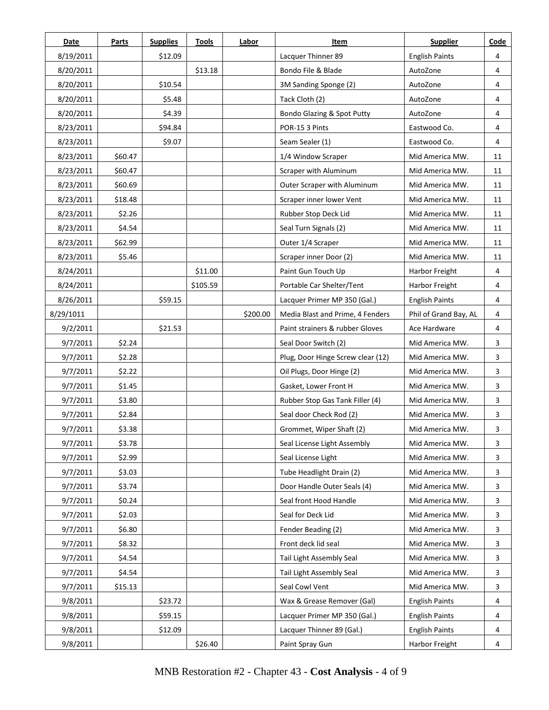| Date      | <b>Parts</b> | <b>Supplies</b> | <b>Tools</b> | Labor    | Item                              | <b>Supplier</b>       | Code |
|-----------|--------------|-----------------|--------------|----------|-----------------------------------|-----------------------|------|
| 8/19/2011 |              | \$12.09         |              |          | Lacquer Thinner 89                | <b>English Paints</b> | 4    |
| 8/20/2011 |              |                 | \$13.18      |          | Bondo File & Blade                | AutoZone              | 4    |
| 8/20/2011 |              | \$10.54         |              |          | 3M Sanding Sponge (2)             | AutoZone              | 4    |
| 8/20/2011 |              | \$5.48          |              |          | Tack Cloth (2)                    | AutoZone              | 4    |
| 8/20/2011 |              | \$4.39          |              |          | Bondo Glazing & Spot Putty        | AutoZone              | 4    |
| 8/23/2011 |              | \$94.84         |              |          | POR-15 3 Pints                    | Eastwood Co.          | 4    |
| 8/23/2011 |              | \$9.07          |              |          | Seam Sealer (1)                   | Eastwood Co.          | 4    |
| 8/23/2011 | \$60.47      |                 |              |          | 1/4 Window Scraper                | Mid America MW.       | 11   |
| 8/23/2011 | \$60.47      |                 |              |          | Scraper with Aluminum             | Mid America MW.       | 11   |
| 8/23/2011 | \$60.69      |                 |              |          | Outer Scraper with Aluminum       | Mid America MW.       | 11   |
| 8/23/2011 | \$18.48      |                 |              |          | Scraper inner lower Vent          | Mid America MW.       | 11   |
| 8/23/2011 | \$2.26       |                 |              |          | Rubber Stop Deck Lid              | Mid America MW.       | 11   |
| 8/23/2011 | \$4.54       |                 |              |          | Seal Turn Signals (2)             | Mid America MW.       | 11   |
| 8/23/2011 | \$62.99      |                 |              |          | Outer 1/4 Scraper                 | Mid America MW.       | 11   |
| 8/23/2011 | \$5.46       |                 |              |          | Scraper inner Door (2)            | Mid America MW.       | 11   |
| 8/24/2011 |              |                 | \$11.00      |          | Paint Gun Touch Up                | Harbor Freight        | 4    |
| 8/24/2011 |              |                 | \$105.59     |          | Portable Car Shelter/Tent         | Harbor Freight        | 4    |
| 8/26/2011 |              | \$59.15         |              |          | Lacquer Primer MP 350 (Gal.)      | <b>English Paints</b> | 4    |
| 8/29/1011 |              |                 |              | \$200.00 | Media Blast and Prime, 4 Fenders  | Phil of Grand Bay, AL | 4    |
| 9/2/2011  |              | \$21.53         |              |          | Paint strainers & rubber Gloves   | Ace Hardware          | 4    |
| 9/7/2011  | \$2.24       |                 |              |          | Seal Door Switch (2)              | Mid America MW.       | 3    |
| 9/7/2011  | \$2.28       |                 |              |          | Plug, Door Hinge Screw clear (12) | Mid America MW.       | 3    |
| 9/7/2011  | \$2.22       |                 |              |          | Oil Plugs, Door Hinge (2)         | Mid America MW.       | 3    |
| 9/7/2011  | \$1.45       |                 |              |          | Gasket, Lower Front H             | Mid America MW.       | 3    |
| 9/7/2011  | \$3.80       |                 |              |          | Rubber Stop Gas Tank Filler (4)   | Mid America MW.       | 3    |
| 9/7/2011  | \$2.84       |                 |              |          | Seal door Check Rod (2)           | Mid America MW.       | 3    |
| 9/7/2011  | \$3.38       |                 |              |          | Grommet, Wiper Shaft (2)          | Mid America MW.       | 3    |
| 9/7/2011  | \$3.78       |                 |              |          | Seal License Light Assembly       | Mid America MW.       | 3    |
| 9/7/2011  | \$2.99       |                 |              |          | Seal License Light                | Mid America MW.       | 3    |
| 9/7/2011  | \$3.03       |                 |              |          | Tube Headlight Drain (2)          | Mid America MW.       | 3    |
| 9/7/2011  | \$3.74       |                 |              |          | Door Handle Outer Seals (4)       | Mid America MW.       | 3    |
| 9/7/2011  | \$0.24       |                 |              |          | Seal front Hood Handle            | Mid America MW.       | 3    |
| 9/7/2011  | \$2.03       |                 |              |          | Seal for Deck Lid                 | Mid America MW.       | 3    |
| 9/7/2011  | \$6.80       |                 |              |          | Fender Beading (2)                | Mid America MW.       | 3    |
| 9/7/2011  | \$8.32       |                 |              |          | Front deck lid seal               | Mid America MW.       | 3    |
| 9/7/2011  | \$4.54       |                 |              |          | Tail Light Assembly Seal          | Mid America MW.       | 3    |
| 9/7/2011  | \$4.54       |                 |              |          | Tail Light Assembly Seal          | Mid America MW.       | 3    |
| 9/7/2011  | \$15.13      |                 |              |          | Seal Cowl Vent                    | Mid America MW.       | 3    |
| 9/8/2011  |              | \$23.72         |              |          | Wax & Grease Remover (Gal)        | <b>English Paints</b> | 4    |
| 9/8/2011  |              | \$59.15         |              |          | Lacquer Primer MP 350 (Gal.)      | <b>English Paints</b> | 4    |
| 9/8/2011  |              | \$12.09         |              |          | Lacquer Thinner 89 (Gal.)         | <b>English Paints</b> | 4    |
| 9/8/2011  |              |                 | \$26.40      |          | Paint Spray Gun                   | Harbor Freight        | 4    |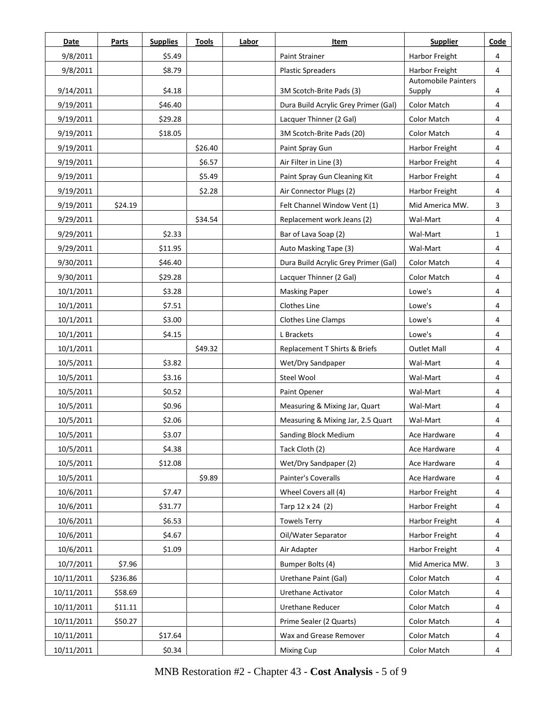| Date       | Parts    | <b>Supplies</b> | <b>Tools</b> | Labor | <b>Item</b>                          | <b>Supplier</b>               | Code         |
|------------|----------|-----------------|--------------|-------|--------------------------------------|-------------------------------|--------------|
| 9/8/2011   |          | \$5.49          |              |       | Paint Strainer                       | Harbor Freight                | 4            |
| 9/8/2011   |          | \$8.79          |              |       | <b>Plastic Spreaders</b>             | Harbor Freight                | 4            |
| 9/14/2011  |          | \$4.18          |              |       | 3M Scotch-Brite Pads (3)             | Automobile Painters<br>Supply | 4            |
| 9/19/2011  |          | \$46.40         |              |       | Dura Build Acrylic Grey Primer (Gal) | Color Match                   | 4            |
| 9/19/2011  |          | \$29.28         |              |       | Lacquer Thinner (2 Gal)              | <b>Color Match</b>            | 4            |
| 9/19/2011  |          | \$18.05         |              |       | 3M Scotch-Brite Pads (20)            | <b>Color Match</b>            | 4            |
| 9/19/2011  |          |                 | \$26.40      |       | Paint Spray Gun                      | Harbor Freight                | 4            |
| 9/19/2011  |          |                 | \$6.57       |       | Air Filter in Line (3)               | <b>Harbor Freight</b>         | 4            |
| 9/19/2011  |          |                 | \$5.49       |       | Paint Spray Gun Cleaning Kit         | Harbor Freight                | 4            |
| 9/19/2011  |          |                 | \$2.28       |       | Air Connector Plugs (2)              | Harbor Freight                | 4            |
| 9/19/2011  | \$24.19  |                 |              |       | Felt Channel Window Vent (1)         | Mid America MW.               | 3            |
| 9/29/2011  |          |                 | \$34.54      |       | Replacement work Jeans (2)           | Wal-Mart                      | 4            |
| 9/29/2011  |          | \$2.33          |              |       | Bar of Lava Soap (2)                 | Wal-Mart                      | $\mathbf{1}$ |
| 9/29/2011  |          | \$11.95         |              |       | Auto Masking Tape (3)                | Wal-Mart                      | 4            |
| 9/30/2011  |          | \$46.40         |              |       | Dura Build Acrylic Grey Primer (Gal) | <b>Color Match</b>            | 4            |
| 9/30/2011  |          | \$29.28         |              |       | Lacquer Thinner (2 Gal)              | <b>Color Match</b>            | 4            |
| 10/1/2011  |          | \$3.28          |              |       | <b>Masking Paper</b>                 | Lowe's                        | 4            |
| 10/1/2011  |          | \$7.51          |              |       | Clothes Line                         | Lowe's                        | 4            |
| 10/1/2011  |          | \$3.00          |              |       | <b>Clothes Line Clamps</b>           | Lowe's                        | 4            |
| 10/1/2011  |          | \$4.15          |              |       | L Brackets                           | Lowe's                        | 4            |
| 10/1/2011  |          |                 | \$49.32      |       | Replacement T Shirts & Briefs        | <b>Outlet Mall</b>            | 4            |
| 10/5/2011  |          | \$3.82          |              |       | Wet/Dry Sandpaper                    | Wal-Mart                      | 4            |
| 10/5/2011  |          | \$3.16          |              |       | Steel Wool                           | Wal-Mart                      | 4            |
| 10/5/2011  |          | \$0.52          |              |       | Paint Opener                         | Wal-Mart                      | 4            |
| 10/5/2011  |          | \$0.96          |              |       | Measuring & Mixing Jar, Quart        | Wal-Mart                      | 4            |
| 10/5/2011  |          | \$2.06          |              |       | Measuring & Mixing Jar, 2.5 Quart    | Wal-Mart                      | 4            |
| 10/5/2011  |          | \$3.07          |              |       | Sanding Block Medium                 | Ace Hardware                  | 4            |
| 10/5/2011  |          | \$4.38          |              |       | Tack Cloth (2)                       | Ace Hardware                  | 4            |
| 10/5/2011  |          | \$12.08         |              |       | Wet/Dry Sandpaper (2)                | Ace Hardware                  | 4            |
| 10/5/2011  |          |                 | \$9.89       |       | Painter's Coveralls                  | Ace Hardware                  | 4            |
| 10/6/2011  |          | \$7.47          |              |       | Wheel Covers all (4)                 | Harbor Freight                | 4            |
| 10/6/2011  |          | \$31.77         |              |       | Tarp 12 x 24 (2)                     | Harbor Freight                | 4            |
| 10/6/2011  |          | \$6.53          |              |       | <b>Towels Terry</b>                  | Harbor Freight                | 4            |
| 10/6/2011  |          | \$4.67          |              |       | Oil/Water Separator                  | Harbor Freight                | 4            |
| 10/6/2011  |          | \$1.09          |              |       | Air Adapter                          | Harbor Freight                | 4            |
| 10/7/2011  | \$7.96   |                 |              |       | Bumper Bolts (4)                     | Mid America MW.               | 3            |
| 10/11/2011 | \$236.86 |                 |              |       | Urethane Paint (Gal)                 | Color Match                   | 4            |
| 10/11/2011 | \$58.69  |                 |              |       | Urethane Activator                   | <b>Color Match</b>            | 4            |
| 10/11/2011 | \$11.11  |                 |              |       | <b>Urethane Reducer</b>              | Color Match                   | 4            |
| 10/11/2011 | \$50.27  |                 |              |       | Prime Sealer (2 Quarts)              | Color Match                   | 4            |
| 10/11/2011 |          | \$17.64         |              |       | Wax and Grease Remover               | Color Match                   | 4            |
| 10/11/2011 |          | \$0.34          |              |       | Mixing Cup                           | Color Match                   | 4            |

MNB Restoration #2 - Chapter 43 - **Cost Analysis** - 5 of 9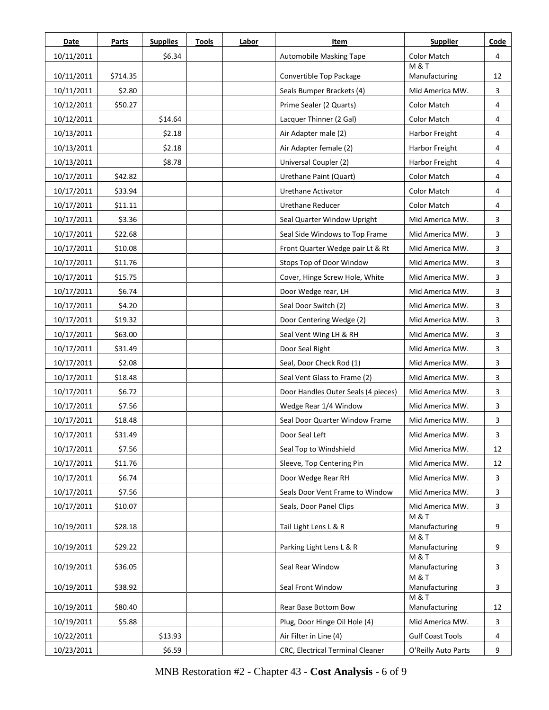| Date       | Parts    | <b>Supplies</b> | <b>Tools</b> | Labor | Item                                | <b>Supplier</b>                   | Code |
|------------|----------|-----------------|--------------|-------|-------------------------------------|-----------------------------------|------|
| 10/11/2011 |          | \$6.34          |              |       | Automobile Masking Tape             | Color Match                       | 4    |
| 10/11/2011 | \$714.35 |                 |              |       | Convertible Top Package             | <b>M &amp; T</b><br>Manufacturing | 12   |
| 10/11/2011 | \$2.80   |                 |              |       | Seals Bumper Brackets (4)           | Mid America MW.                   | 3    |
| 10/12/2011 | \$50.27  |                 |              |       | Prime Sealer (2 Quarts)             | Color Match                       | 4    |
| 10/12/2011 |          | \$14.64         |              |       | Lacquer Thinner (2 Gal)             | <b>Color Match</b>                | 4    |
| 10/13/2011 |          | \$2.18          |              |       | Air Adapter male (2)                | Harbor Freight                    | 4    |
| 10/13/2011 |          | \$2.18          |              |       | Air Adapter female (2)              | Harbor Freight                    | 4    |
| 10/13/2011 |          | \$8.78          |              |       | Universal Coupler (2)               | Harbor Freight                    | 4    |
| 10/17/2011 | \$42.82  |                 |              |       | Urethane Paint (Quart)              | <b>Color Match</b>                | 4    |
| 10/17/2011 | \$33.94  |                 |              |       | Urethane Activator                  | Color Match                       | 4    |
| 10/17/2011 | \$11.11  |                 |              |       | <b>Urethane Reducer</b>             | <b>Color Match</b>                | 4    |
| 10/17/2011 | \$3.36   |                 |              |       | Seal Quarter Window Upright         | Mid America MW.                   | 3    |
| 10/17/2011 | \$22.68  |                 |              |       | Seal Side Windows to Top Frame      | Mid America MW.                   | 3    |
| 10/17/2011 | \$10.08  |                 |              |       | Front Quarter Wedge pair Lt & Rt    | Mid America MW.                   | 3    |
| 10/17/2011 | \$11.76  |                 |              |       | Stops Top of Door Window            | Mid America MW.                   | 3    |
| 10/17/2011 | \$15.75  |                 |              |       | Cover, Hinge Screw Hole, White      | Mid America MW.                   | 3    |
| 10/17/2011 | \$6.74   |                 |              |       | Door Wedge rear, LH                 | Mid America MW.                   | 3    |
| 10/17/2011 | \$4.20   |                 |              |       | Seal Door Switch (2)                | Mid America MW.                   | 3    |
| 10/17/2011 | \$19.32  |                 |              |       | Door Centering Wedge (2)            | Mid America MW.                   | 3    |
| 10/17/2011 | \$63.00  |                 |              |       | Seal Vent Wing LH & RH              | Mid America MW.                   | 3    |
| 10/17/2011 | \$31.49  |                 |              |       | Door Seal Right                     | Mid America MW.                   | 3    |
| 10/17/2011 | \$2.08   |                 |              |       | Seal, Door Check Rod (1)            | Mid America MW.                   | 3    |
| 10/17/2011 | \$18.48  |                 |              |       | Seal Vent Glass to Frame (2)        | Mid America MW.                   | 3    |
| 10/17/2011 | \$6.72   |                 |              |       | Door Handles Outer Seals (4 pieces) | Mid America MW.                   | 3    |
| 10/17/2011 | \$7.56   |                 |              |       | Wedge Rear 1/4 Window               | Mid America MW.                   | 3    |
| 10/17/2011 | \$18.48  |                 |              |       | Seal Door Quarter Window Frame      | Mid America MW.                   | 3    |
| 10/17/2011 | \$31.49  |                 |              |       | Door Seal Left                      | Mid America MW.                   | 3    |
| 10/17/2011 | \$7.56   |                 |              |       | Seal Top to Windshield              | Mid America MW.                   | 12   |
| 10/17/2011 | \$11.76  |                 |              |       | Sleeve, Top Centering Pin           | Mid America MW.                   | 12   |
| 10/17/2011 | \$6.74   |                 |              |       | Door Wedge Rear RH                  | Mid America MW.                   | 3    |
| 10/17/2011 | \$7.56   |                 |              |       | Seals Door Vent Frame to Window     | Mid America MW.                   | 3    |
| 10/17/2011 | \$10.07  |                 |              |       | Seals, Door Panel Clips             | Mid America MW.                   | 3    |
| 10/19/2011 | \$28.18  |                 |              |       | Tail Light Lens L & R               | <b>M&amp;T</b><br>Manufacturing   | 9    |
|            |          |                 |              |       |                                     | <b>M&amp;T</b>                    |      |
| 10/19/2011 | \$29.22  |                 |              |       | Parking Light Lens L & R            | Manufacturing                     | 9    |
| 10/19/2011 | \$36.05  |                 |              |       | Seal Rear Window                    | <b>M&amp;T</b><br>Manufacturing   | 3    |
|            |          |                 |              |       |                                     | <b>M &amp; T</b>                  |      |
| 10/19/2011 | \$38.92  |                 |              |       | Seal Front Window                   | Manufacturing<br><b>M&amp;T</b>   | 3    |
| 10/19/2011 | \$80.40  |                 |              |       | Rear Base Bottom Bow                | Manufacturing                     | 12   |
| 10/19/2011 | \$5.88   |                 |              |       | Plug, Door Hinge Oil Hole (4)       | Mid America MW.                   | 3    |
| 10/22/2011 |          | \$13.93         |              |       | Air Filter in Line (4)              | <b>Gulf Coast Tools</b>           | 4    |
| 10/23/2011 |          | \$6.59          |              |       | CRC, Electrical Terminal Cleaner    | O'Reilly Auto Parts               | 9    |

MNB Restoration #2 - Chapter 43 - **Cost Analysis** - 6 of 9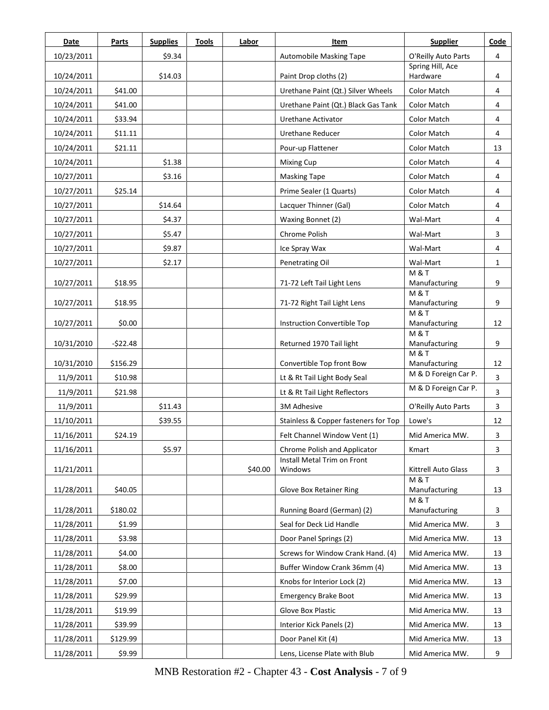| Date       | <b>Parts</b> | <b>Supplies</b>  | <b>Tools</b> | Labor   | Item                                 | <b>Supplier</b>                         | Code |
|------------|--------------|------------------|--------------|---------|--------------------------------------|-----------------------------------------|------|
| 10/23/2011 |              | \$9.34           |              |         | Automobile Masking Tape              | O'Reilly Auto Parts                     | 4    |
| 10/24/2011 |              | \$14.03          |              |         | Paint Drop cloths (2)                | Spring Hill, Ace<br>Hardware            | 4    |
| 10/24/2011 | \$41.00      |                  |              |         | Urethane Paint (Qt.) Silver Wheels   | <b>Color Match</b>                      | 4    |
| 10/24/2011 | \$41.00      |                  |              |         | Urethane Paint (Qt.) Black Gas Tank  | Color Match                             | 4    |
| 10/24/2011 | \$33.94      |                  |              |         | Urethane Activator                   | <b>Color Match</b>                      | 4    |
| 10/24/2011 | \$11.11      |                  |              |         | <b>Urethane Reducer</b>              | <b>Color Match</b>                      | 4    |
| 10/24/2011 | \$21.11      |                  |              |         | Pour-up Flattener                    | Color Match                             | 13   |
|            |              |                  |              |         |                                      | <b>Color Match</b>                      | 4    |
| 10/24/2011 |              | \$1.38<br>\$3.16 |              |         | <b>Mixing Cup</b>                    | <b>Color Match</b>                      |      |
| 10/27/2011 |              |                  |              |         | <b>Masking Tape</b>                  |                                         | 4    |
| 10/27/2011 | \$25.14      |                  |              |         | Prime Sealer (1 Quarts)              | <b>Color Match</b>                      | 4    |
| 10/27/2011 |              | \$14.64          |              |         | Lacquer Thinner (Gal)                | <b>Color Match</b>                      | 4    |
| 10/27/2011 |              | \$4.37           |              |         | Waxing Bonnet (2)                    | Wal-Mart                                | 4    |
| 10/27/2011 |              | \$5.47           |              |         | Chrome Polish                        | Wal-Mart                                | 3    |
| 10/27/2011 |              | \$9.87           |              |         | Ice Spray Wax                        | Wal-Mart                                | 4    |
| 10/27/2011 |              | \$2.17           |              |         | Penetrating Oil                      | Wal-Mart                                | 1    |
| 10/27/2011 | \$18.95      |                  |              |         | 71-72 Left Tail Light Lens           | <b>M&amp;T</b><br>Manufacturing         | 9    |
|            |              |                  |              |         |                                      | <b>M &amp; T</b>                        |      |
| 10/27/2011 | \$18.95      |                  |              |         | 71-72 Right Tail Light Lens          | Manufacturing<br><b>M&amp;T</b>         | 9    |
| 10/27/2011 | \$0.00       |                  |              |         | Instruction Convertible Top          | Manufacturing                           | 12   |
|            |              |                  |              |         |                                      | M&T                                     |      |
| 10/31/2010 | $-$22.48$    |                  |              |         | Returned 1970 Tail light             | Manufacturing<br><b>M&amp;T</b>         | 9    |
| 10/31/2010 | \$156.29     |                  |              |         | Convertible Top front Bow            | Manufacturing                           | 12   |
| 11/9/2011  | \$10.98      |                  |              |         | Lt & Rt Tail Light Body Seal         | M & D Foreign Car P.                    | 3    |
| 11/9/2011  | \$21.98      |                  |              |         | Lt & Rt Tail Light Reflectors        | M & D Foreign Car P.                    | 3    |
| 11/9/2011  |              | \$11.43          |              |         | 3M Adhesive                          | O'Reilly Auto Parts                     | 3    |
| 11/10/2011 |              | \$39.55          |              |         | Stainless & Copper fasteners for Top | Lowe's                                  | 12   |
| 11/16/2011 | \$24.19      |                  |              |         | Felt Channel Window Vent (1)         | Mid America MW.                         | 3    |
| 11/16/2011 |              | \$5.97           |              |         | Chrome Polish and Applicator         | Kmart                                   | 3    |
|            |              |                  |              |         | Install Metal Trim on Front          |                                         |      |
| 11/21/2011 |              |                  |              | \$40.00 | Windows                              | Kittrell Auto Glass<br><b>M &amp; T</b> | 3    |
| 11/28/2011 | \$40.05      |                  |              |         | Glove Box Retainer Ring              | Manufacturing                           | 13   |
| 11/28/2011 | \$180.02     |                  |              |         | Running Board (German) (2)           | <b>M&amp;T</b><br>Manufacturing         | 3    |
| 11/28/2011 | \$1.99       |                  |              |         | Seal for Deck Lid Handle             | Mid America MW.                         |      |
|            |              |                  |              |         |                                      |                                         | 3    |
| 11/28/2011 | \$3.98       |                  |              |         | Door Panel Springs (2)               | Mid America MW.                         | 13   |
| 11/28/2011 | \$4.00       |                  |              |         | Screws for Window Crank Hand. (4)    | Mid America MW.                         | 13   |
| 11/28/2011 | \$8.00       |                  |              |         | Buffer Window Crank 36mm (4)         | Mid America MW.                         | 13   |
| 11/28/2011 | \$7.00       |                  |              |         | Knobs for Interior Lock (2)          | Mid America MW.                         | 13   |
| 11/28/2011 | \$29.99      |                  |              |         | <b>Emergency Brake Boot</b>          | Mid America MW.                         | 13   |
| 11/28/2011 | \$19.99      |                  |              |         | Glove Box Plastic                    | Mid America MW.                         | 13   |
| 11/28/2011 | \$39.99      |                  |              |         | Interior Kick Panels (2)             | Mid America MW.                         | 13   |
| 11/28/2011 | \$129.99     |                  |              |         | Door Panel Kit (4)                   | Mid America MW.                         | 13   |
| 11/28/2011 | \$9.99       |                  |              |         | Lens, License Plate with Blub        | Mid America MW.                         | 9    |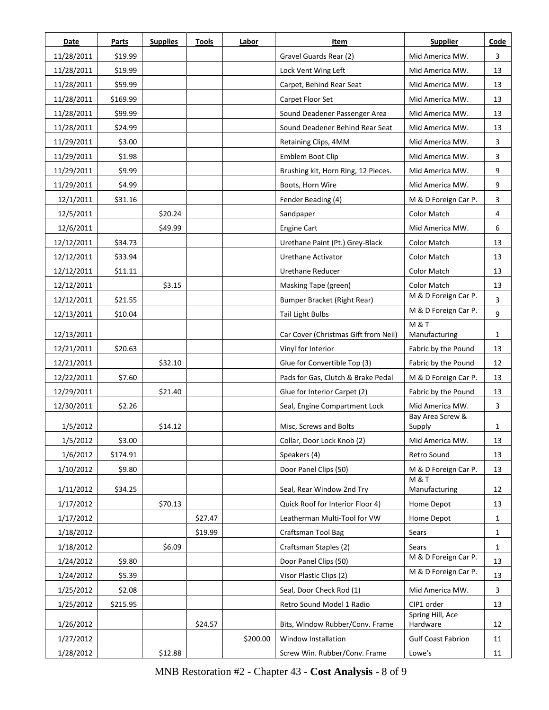| Date       | Parts    | <b>Supplies</b> | <b>Tools</b> | Labor    | Item                                 | <b>Supplier</b>                   | Code |
|------------|----------|-----------------|--------------|----------|--------------------------------------|-----------------------------------|------|
| 11/28/2011 | \$19.99  |                 |              |          | Gravel Guards Rear (2)               | Mid America MW.                   | 3    |
| 11/28/2011 | \$19.99  |                 |              |          | Lock Vent Wing Left                  | Mid America MW.                   | 13   |
| 11/28/2011 | \$59.99  |                 |              |          | Carpet, Behind Rear Seat             | Mid America MW.                   | 13   |
| 11/28/2011 | \$169.99 |                 |              |          | Carpet Floor Set                     | Mid America MW.                   | 13   |
| 11/28/2011 | \$99.99  |                 |              |          | Sound Deadener Passenger Area        | Mid America MW.                   | 13   |
| 11/28/2011 | \$24.99  |                 |              |          | Sound Deadener Behind Rear Seat      | Mid America MW.                   | 13   |
| 11/29/2011 | \$3.00   |                 |              |          | Retaining Clips, 4MM                 | Mid America MW.                   | 3    |
| 11/29/2011 | \$1.98   |                 |              |          | Emblem Boot Clip                     | Mid America MW.                   | 3    |
| 11/29/2011 | \$9.99   |                 |              |          | Brushing kit, Horn Ring, 12 Pieces.  | Mid America MW.                   | 9    |
| 11/29/2011 | \$4.99   |                 |              |          | Boots, Horn Wire                     | Mid America MW.                   | 9    |
| 12/1/2011  | \$31.16  |                 |              |          | Fender Beading (4)                   | M & D Foreign Car P.              | 3    |
| 12/5/2011  |          | \$20.24         |              |          | Sandpaper                            | Color Match                       | 4    |
| 12/6/2011  |          | \$49.99         |              |          | <b>Engine Cart</b>                   | Mid America MW.                   | 6    |
| 12/12/2011 | \$34.73  |                 |              |          | Urethane Paint (Pt.) Grey-Black      | <b>Color Match</b>                | 13   |
| 12/12/2011 | \$33.94  |                 |              |          | Urethane Activator                   | Color Match                       | 13   |
| 12/12/2011 | \$11.11  |                 |              |          | Urethane Reducer                     | <b>Color Match</b>                | 13   |
| 12/12/2011 |          | \$3.15          |              |          | Masking Tape (green)                 | <b>Color Match</b>                | 13   |
| 12/12/2011 | \$21.55  |                 |              |          | Bumper Bracket (Right Rear)          | M & D Foreign Car P.              | 3    |
| 12/13/2011 | \$10.04  |                 |              |          | <b>Tail Light Bulbs</b>              | M & D Foreign Car P.              | 9    |
| 12/13/2011 |          |                 |              |          | Car Cover (Christmas Gift from Neil) | <b>M &amp; T</b><br>Manufacturing | 1    |
| 12/21/2011 | \$20.63  |                 |              |          | Vinyl for Interior                   | Fabric by the Pound               | 13   |
| 12/21/2011 |          | \$32.10         |              |          | Glue for Convertible Top (3)         | Fabric by the Pound               | 12   |
| 12/22/2011 | \$7.60   |                 |              |          | Pads for Gas, Clutch & Brake Pedal   | M & D Foreign Car P.              | 13   |
| 12/29/2011 |          | \$21.40         |              |          | Glue for Interior Carpet (2)         | Fabric by the Pound               | 13   |
| 12/30/2011 | \$2.26   |                 |              |          | Seal, Engine Compartment Lock        | Mid America MW.                   | 3    |
| 1/5/2012   |          | \$14.12         |              |          | Misc, Screws and Bolts               | Bay Area Screw &<br>Supply        | 1    |
| 1/5/2012   | \$3.00   |                 |              |          | Collar, Door Lock Knob (2)           | Mid America MW.                   | 13   |
| 1/6/2012   | \$174.91 |                 |              |          | Speakers (4)                         | Retro Sound                       | 13   |
| 1/10/2012  | \$9.80   |                 |              |          | Door Panel Clips (50)                | M & D Foreign Car P.              | 13   |
| 1/11/2012  | \$34.25  |                 |              |          | Seal, Rear Window 2nd Try            | M & T<br>Manufacturing            | 12   |
| 1/17/2012  |          | \$70.13         |              |          | Quick Roof for Interior Floor 4)     | Home Depot                        | 13   |
| 1/17/2012  |          |                 | \$27.47      |          | Leatherman Multi-Tool for VW         | Home Depot                        | 1    |
| 1/18/2012  |          |                 | \$19.99      |          | Craftsman Tool Bag                   | Sears                             | 1    |
| 1/18/2012  |          | \$6.09          |              |          | Craftsman Staples (2)                | Sears                             | 1    |
| 1/24/2012  | \$9.80   |                 |              |          | Door Panel Clips (50)                | M & D Foreign Car P.              | 13   |
| 1/24/2012  | \$5.39   |                 |              |          | Visor Plastic Clips (2)              | M & D Foreign Car P.              | 13   |
| 1/25/2012  | \$2.08   |                 |              |          | Seal, Door Check Rod (1)             | Mid America MW.                   | 3    |
| 1/25/2012  | \$215.95 |                 |              |          | Retro Sound Model 1 Radio            | CIP1 order                        | 13   |
| 1/26/2012  |          |                 | \$24.57      |          | Bits, Window Rubber/Conv. Frame      | Spring Hill, Ace<br>Hardware      | 12   |
| 1/27/2012  |          |                 |              | \$200.00 | Window Installation                  | <b>Gulf Coast Fabrion</b>         | 11   |
| 1/28/2012  |          | \$12.88         |              |          | Screw Win. Rubber/Conv. Frame        | Lowe's                            | 11   |

MNB Restoration #2 - Chapter 43 - **Cost Analysis** - 8 of 9